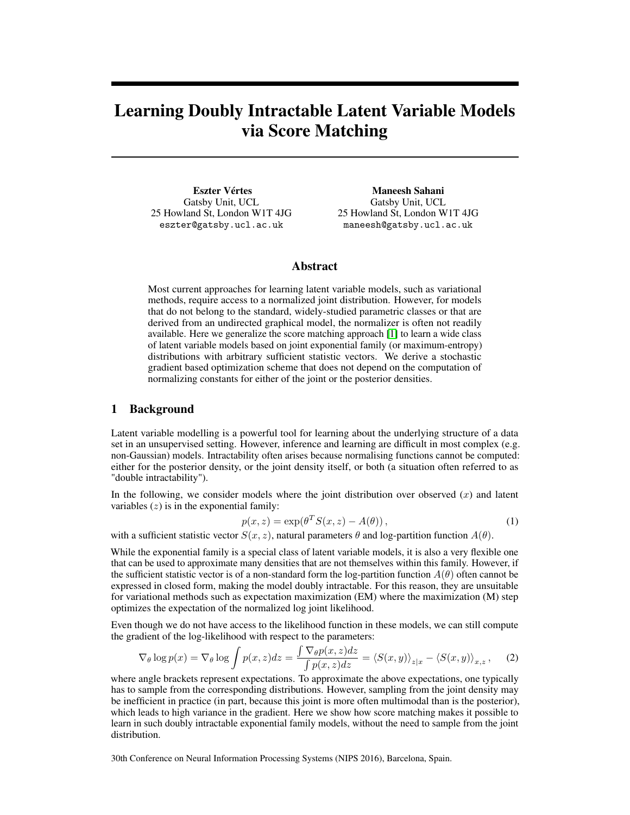# Learning Doubly Intractable Latent Variable Models via Score Matching

Eszter Vértes Gatsby Unit, UCL 25 Howland St, London W1T 4JG eszter@gatsby.ucl.ac.uk

Maneesh Sahani Gatsby Unit, UCL 25 Howland St, London W1T 4JG maneesh@gatsby.ucl.ac.uk

## Abstract

Most current approaches for learning latent variable models, such as variational methods, require access to a normalized joint distribution. However, for models that do not belong to the standard, widely-studied parametric classes or that are derived from an undirected graphical model, the normalizer is often not readily available. Here we generalize the score matching approach [\[1\]](#page-3-0) to learn a wide class of latent variable models based on joint exponential family (or maximum-entropy) distributions with arbitrary sufficient statistic vectors. We derive a stochastic gradient based optimization scheme that does not depend on the computation of normalizing constants for either of the joint or the posterior densities.

## 1 Background

Latent variable modelling is a powerful tool for learning about the underlying structure of a data set in an unsupervised setting. However, inference and learning are difficult in most complex (e.g. non-Gaussian) models. Intractability often arises because normalising functions cannot be computed: either for the posterior density, or the joint density itself, or both (a situation often referred to as "double intractability").

In the following, we consider models where the joint distribution over observed  $(x)$  and latent variables  $(z)$  is in the exponential family:

$$
p(x,z) = \exp(\theta^T S(x,z) - A(\theta)),
$$
\n(1)

with a sufficient statistic vector  $S(x, z)$ , natural parameters  $\theta$  and log-partition function  $A(\theta)$ .

While the exponential family is a special class of latent variable models, it is also a very flexible one that can be used to approximate many densities that are not themselves within this family. However, if the sufficient statistic vector is of a non-standard form the log-partition function  $A(\theta)$  often cannot be expressed in closed form, making the model doubly intractable. For this reason, they are unsuitable for variational methods such as expectation maximization (EM) where the maximization (M) step optimizes the expectation of the normalized log joint likelihood.

Even though we do not have access to the likelihood function in these models, we can still compute the gradient of the log-likelihood with respect to the parameters:

$$
\nabla_{\theta} \log p(x) = \nabla_{\theta} \log \int p(x, z) dz = \frac{\int \nabla_{\theta} p(x, z) dz}{\int p(x, z) dz} = \langle S(x, y) \rangle_{z|x} - \langle S(x, y) \rangle_{x,z}, \quad (2)
$$

where angle brackets represent expectations. To approximate the above expectations, one typically has to sample from the corresponding distributions. However, sampling from the joint density may be inefficient in practice (in part, because this joint is more often multimodal than is the posterior), which leads to high variance in the gradient. Here we show how score matching makes it possible to learn in such doubly intractable exponential family models, without the need to sample from the joint distribution.

30th Conference on Neural Information Processing Systems (NIPS 2016), Barcelona, Spain.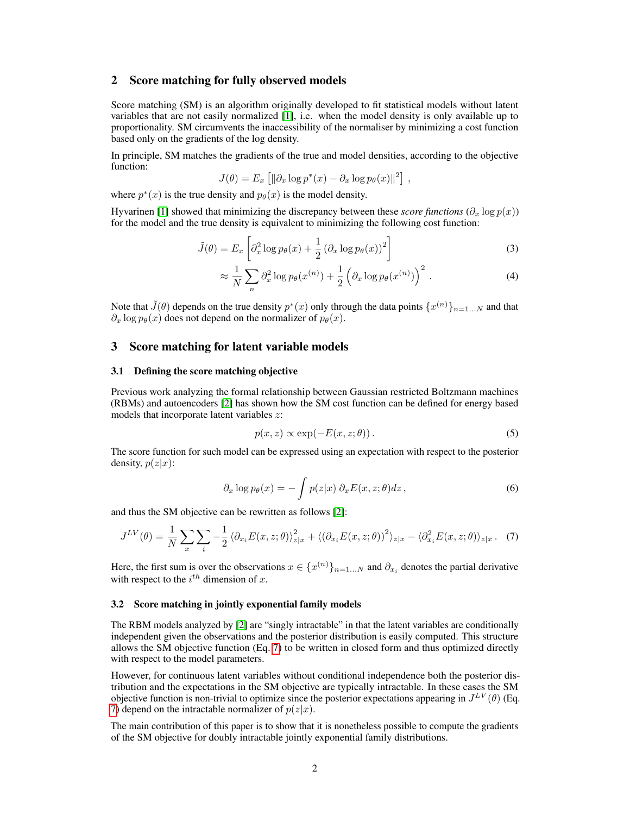# 2 Score matching for fully observed models

Score matching (SM) is an algorithm originally developed to fit statistical models without latent variables that are not easily normalized [\[1\]](#page-3-0), i.e. when the model density is only available up to proportionality. SM circumvents the inaccessibility of the normaliser by minimizing a cost function based only on the gradients of the log density.

In principle, SM matches the gradients of the true and model densities, according to the objective function:

$$
J(\theta) = E_x \left[ \|\partial_x \log p^*(x) - \partial_x \log p_{\theta}(x) \|^2 \right],
$$

where  $p^*(x)$  is the true density and  $p_\theta(x)$  is the model density.

Hyvarinen [\[1\]](#page-3-0) showed that minimizing the discrepancy between these *score functions* ( $\partial_x \log p(x)$ ) for the model and the true density is equivalent to minimizing the following cost function:

$$
\tilde{J}(\theta) = E_x \left[ \partial_x^2 \log p_\theta(x) + \frac{1}{2} \left( \partial_x \log p_\theta(x) \right)^2 \right]
$$
\n(3)

$$
\approx \frac{1}{N} \sum_{n} \partial_x^2 \log p_{\theta}(x^{(n)}) + \frac{1}{2} \left( \partial_x \log p_{\theta}(x^{(n)}) \right)^2. \tag{4}
$$

Note that  $\tilde{J}(\theta)$  depends on the true density  $p^*(x)$  only through the data points  $\{x^{(n)}\}_{n=1...N}$  and that  $\partial_x \log p_\theta(x)$  does not depend on the normalizer of  $p_\theta(x)$ .

## 3 Score matching for latent variable models

#### 3.1 Defining the score matching objective

Previous work analyzing the formal relationship between Gaussian restricted Boltzmann machines (RBMs) and autoencoders [\[2\]](#page-3-1) has shown how the SM cost function can be defined for energy based models that incorporate latent variables z:

<span id="page-1-0"></span>
$$
p(x, z) \propto \exp(-E(x, z; \theta)).
$$
\n(5)

The score function for such model can be expressed using an expectation with respect to the posterior density,  $p(z|x)$ :

$$
\partial_x \log p_\theta(x) = -\int p(z|x) \, \partial_x E(x, z; \theta) dz \,, \tag{6}
$$

and thus the SM objective can be rewritten as follows [\[2\]](#page-3-1):

$$
J^{LV}(\theta) = \frac{1}{N} \sum_{x} \sum_{i} -\frac{1}{2} \langle \partial_{x_i} E(x, z; \theta) \rangle_{z|x}^2 + \langle (\partial_{x_i} E(x, z; \theta))^2 \rangle_{z|x} - \langle \partial_{x_i}^2 E(x, z; \theta) \rangle_{z|x}.
$$
 (7)

Here, the first sum is over the observations  $x \in \{x^{(n)}\}_{n=1...N}$  and  $\partial_{x_i}$  denotes the partial derivative with respect to the  $i^{th}$  dimension of x.

#### 3.2 Score matching in jointly exponential family models

The RBM models analyzed by [\[2\]](#page-3-1) are "singly intractable" in that the latent variables are conditionally independent given the observations and the posterior distribution is easily computed. This structure allows the SM objective function (Eq. [7\)](#page-1-0) to be written in closed form and thus optimized directly with respect to the model parameters.

However, for continuous latent variables without conditional independence both the posterior distribution and the expectations in the SM objective are typically intractable. In these cases the SM objective function is non-trivial to optimize since the posterior expectations appearing in  $J^{LV}(\theta)$  (Eq. [7\)](#page-1-0) depend on the intractable normalizer of  $p(z|x)$ .

The main contribution of this paper is to show that it is nonetheless possible to compute the gradients of the SM objective for doubly intractable jointly exponential family distributions.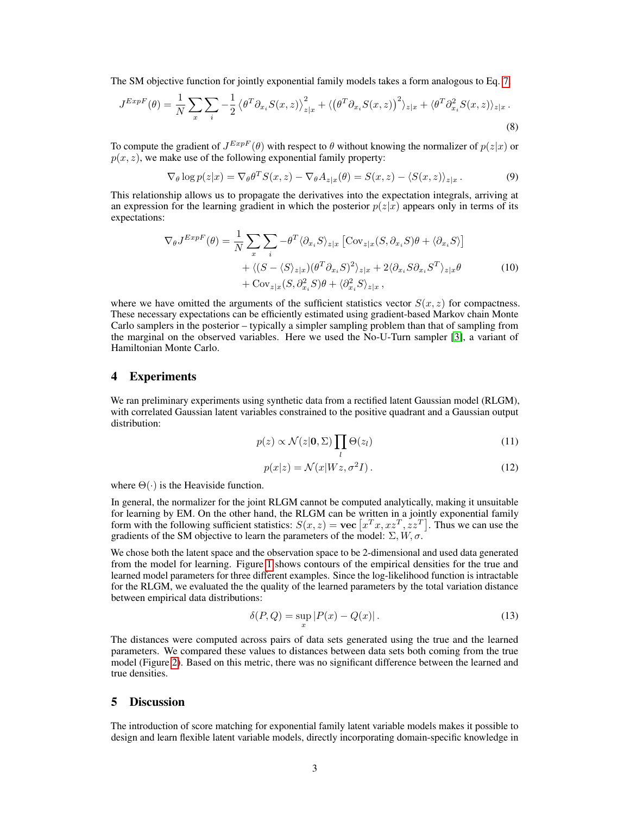The SM objective function for jointly exponential family models takes a form analogous to Eq. [7.](#page-1-0)

$$
J^{ExpF}(\theta) = \frac{1}{N} \sum_{x} \sum_{i} -\frac{1}{2} \left\langle \theta^T \partial_{x_i} S(x, z) \right\rangle_{z|x}^2 + \left\langle \left(\theta^T \partial_{x_i} S(x, z)\right)^2 \right\rangle_{z|x} + \left\langle \theta^T \partial_{x_i}^2 S(x, z) \right\rangle_{z|x}.
$$
\n(8)

To compute the gradient of  $J^{ExpF}(\theta)$  with respect to  $\theta$  without knowing the normalizer of  $p(z|x)$  or  $p(x, z)$ , we make use of the following exponential family property:

$$
\nabla_{\theta} \log p(z|x) = \nabla_{\theta} \theta^T S(x, z) - \nabla_{\theta} A_{z|x}(\theta) = S(x, z) - \langle S(x, z) \rangle_{z|x}.
$$
 (9)

This relationship allows us to propagate the derivatives into the expectation integrals, arriving at an expression for the learning gradient in which the posterior  $p(z|x)$  appears only in terms of its expectations:

$$
\nabla_{\theta} J^{ExpF}(\theta) = \frac{1}{N} \sum_{x} \sum_{i} -\theta^{T} \langle \partial_{x_{i}} S \rangle_{z|x} \left[ \text{Cov}_{z|x} (S, \partial_{x_{i}} S) \theta + \langle \partial_{x_{i}} S \rangle \right] + \langle (S - \langle S \rangle_{z|x}) (\theta^{T} \partial_{x_{i}} S)^{2} \rangle_{z|x} + 2 \langle \partial_{x_{i}} S \partial_{x_{i}} S^{T} \rangle_{z|x} \theta + \text{Cov}_{z|x} (S, \partial_{x_{i}}^{2} S) \theta + \langle \partial_{x_{i}}^{2} S \rangle_{z|x},
$$
\n(10)

where we have omitted the arguments of the sufficient statistics vector  $S(x, z)$  for compactness. These necessary expectations can be efficiently estimated using gradient-based Markov chain Monte Carlo samplers in the posterior – typically a simpler sampling problem than that of sampling from the marginal on the observed variables. Here we used the No-U-Turn sampler [\[3\]](#page-3-2), a variant of Hamiltonian Monte Carlo.

## 4 Experiments

We ran preliminary experiments using synthetic data from a rectified latent Gaussian model (RLGM), with correlated Gaussian latent variables constrained to the positive quadrant and a Gaussian output distribution:

$$
p(z) \propto \mathcal{N}(z|\mathbf{0}, \Sigma) \prod_{l} \Theta(z_l)
$$
 (11)

$$
p(x|z) = \mathcal{N}(x|Wz, \sigma^2 I). \tag{12}
$$

where  $\Theta(\cdot)$  is the Heaviside function.

In general, the normalizer for the joint RLGM cannot be computed analytically, making it unsuitable for learning by EM. On the other hand, the RLGM can be written in a jointly exponential family form with the following sufficient statistics:  $S(x, z) = \textbf{vec} \left[ x^T x, x z^T, z z^T \right]$ . Thus we can use the gradients of the SM objective to learn the parameters of the model:  $\Sigma$ ,  $W$ ,  $\sigma$ .

We chose both the latent space and the observation space to be 2-dimensional and used data generated from the model for learning. Figure [1](#page-3-3) shows contours of the empirical densities for the true and learned model parameters for three different examples. Since the log-likelihood function is intractable for the RLGM, we evaluated the the quality of the learned parameters by the total variation distance between empirical data distributions:

$$
\delta(P,Q) = \sup_x |P(x) - Q(x)|. \tag{13}
$$

The distances were computed across pairs of data sets generated using the true and the learned parameters. We compared these values to distances between data sets both coming from the true model (Figure [2\)](#page-3-4). Based on this metric, there was no significant difference between the learned and true densities.

# 5 Discussion

The introduction of score matching for exponential family latent variable models makes it possible to design and learn flexible latent variable models, directly incorporating domain-specific knowledge in